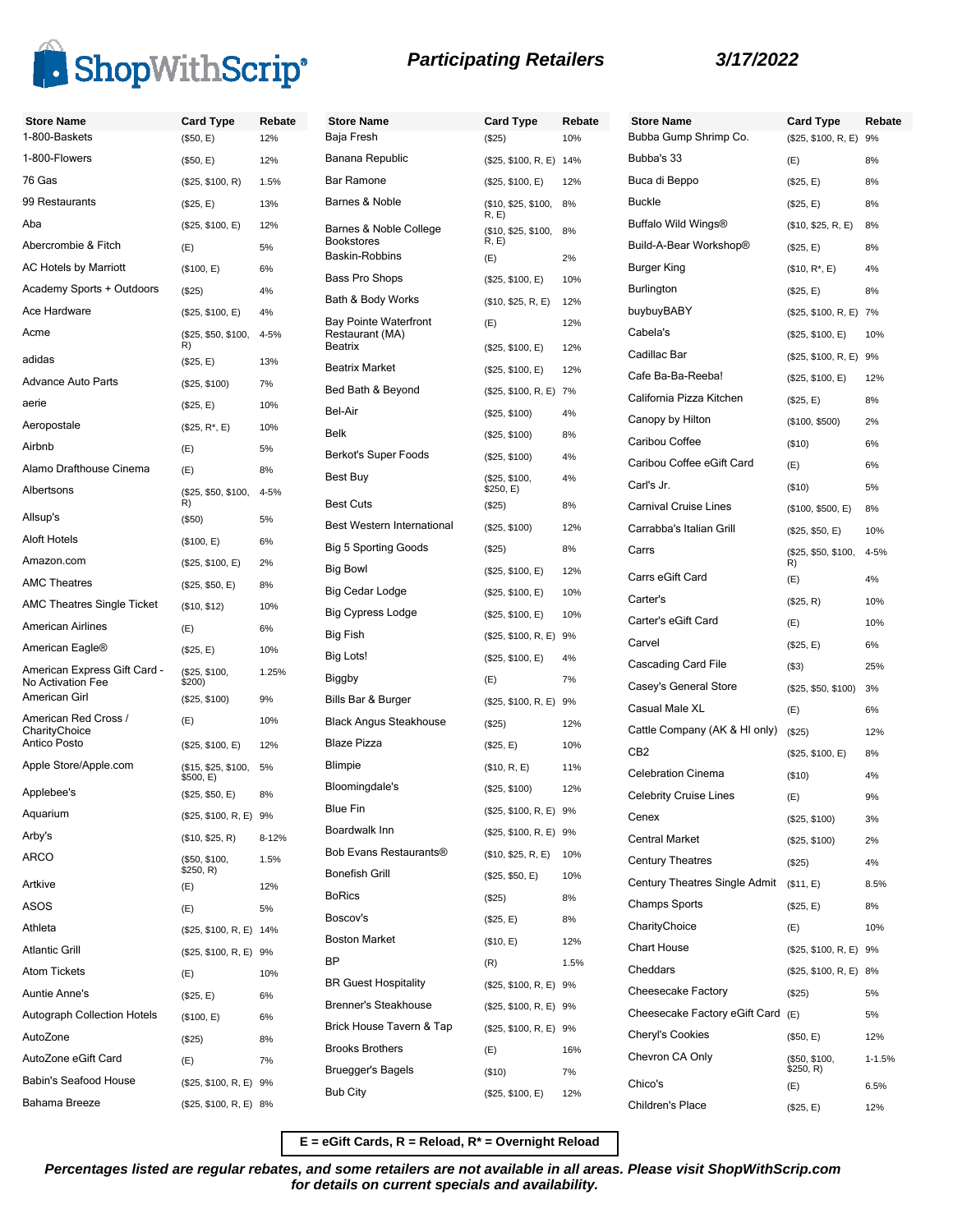

American Airlines (E) 6% American Eagle® (\$25, E) 10%

American Girl (\$25, \$100) 9%

Applebee's (\$25, \$50, E) 8% Aquarium (\$25, \$100, R, E) 9% Arby's (\$10, \$25, R) 8-12%

Artkive (E) 12% ASOS (E) 5% Athleta (\$25, \$100, R, E) 14% Atlantic Grill (\$25, \$100, R, E) 9% Atom Tickets (E) 10% Auntie Anne's (\$25, E) 6% Autograph Collection Hotels (\$100, E) 6% AutoZone (\$25) 8% AutoZone eGift Card (E) 7% Babin's Seafood House (\$25, \$100, R, E) 9% Bahama Breeze (\$25, \$100, R, E) 8%

ARCO (\$50, \$100,

(\$25, \$100, \$200)

 $$500, E)$ (\$15, \$25, \$100, 5%

 $$250, R)$ 

(E) 10% (\$25, \$100, E) 12%

1.25%

Big Fish Big Lots! **Biggby** 

Blaze Pizza

1.5%

American Express Gift Card - No Activation Fee

American Red Cross / CharityChoice<br>Antico Posto

Apple Store/Apple.com

### **Store Name Card Type Rebate** 1-800-Baskets (\$50, E) 12% 1-800-Flowers (\$50, E) 12% 76 Gas (\$25, \$100, R) 1.5% 99 Restaurants (\$25, E) 13% Aba (\$25, \$100, E) 12% Abercrombie & Fitch (E) 5% AC Hotels by Marriott (\$100, E) 6% Academy Sports + Outdoors (\$25) 4% Ace Hardware (\$25, \$100, E) 4% Acme (\$25, \$50, \$100, 4-5% R) adidas (\$25, E) 13% Advance Auto Parts (\$25, \$100) 7% aerie (\$25, E) 10% Aeropostale (\$25, R\*, E) 10% Airbnb (E) 5% Alamo Drafthouse Cinema (E) 8% Albertsons (\$25, \$50, \$100, R) 4-5% Allsup's (\$50) 5% Aloft Hotels (\$100, E) 6% Amazon.com (\$25, \$100, E) 2% AMC Theatres (\$25, \$50, E) 8% AMC Theatres Single Ticket (\$10, \$12) 10% **Store Name** Baja Fresh Banana Republic Bar Ramone Barnes & Noble Barnes & Noble College Bookstores Baskin-Robbins Bass Pro Shops Bath & Body Works Bay Pointe Waterfront Restaurant (MA) **Beatrix Market** Bed Bath & Beyond Bel-Air Berkot's Super Foods Best Buy Best Cuts Best Western International Big 5 Sporting Goods **Big Bowl** Big Cedar Lodge Big Cypress Lodge

### **Participating Retailers 3/17/2022**

**Store Name Card Type Rebate**  $($25, $100, R, E)$  9%

1-1.5%

| <b>Store Name</b>                               | <b>Card Type</b>             | Rebate | <b>Store Name</b>                    | <b>Card Type</b>           | Reb       |
|-------------------------------------------------|------------------------------|--------|--------------------------------------|----------------------------|-----------|
| Baja Fresh                                      | (\$25)                       | 10%    | Bubba Gump Shrimp Co.                | (\$25, \$100, R, E) 9%     |           |
| Banana Republic                                 | (\$25, \$100, R, E) 14%      |        | Bubba's 33                           | (E)                        | 8%        |
| Bar Ramone                                      | (\$25, \$100, E)             | 12%    | Buca di Beppo                        | (\$25, E)                  | 8%        |
| Barnes & Noble                                  | (\$10, \$25, \$100,          | 8%     | <b>Buckle</b>                        | (\$25, E)                  | 8%        |
| Barnes & Noble College                          | R, E)<br>(\$10, \$25, \$100, | 8%     | Buffalo Wild Wings®                  | (\$10, \$25, R, E)         | 8%        |
| Bookstores                                      | R, E)                        |        | Build-A-Bear Workshop®               | (\$25, E)                  | 8%        |
| Baskin-Robbins                                  | (E)                          | 2%     | Burger King                          | (\$10, R*, E)              | 4%        |
| Bass Pro Shops                                  | (\$25, \$100, E)             | 10%    | Burlington                           | (\$25, E)                  | 8%        |
| Bath & Body Works                               | (\$10, \$25, R, E)           | 12%    | buybuyBABY                           | (\$25, \$100, R, E) 7%     |           |
| <b>Bay Pointe Waterfront</b><br>Restaurant (MA) | (E)                          | 12%    | Cabela's                             | (\$25, \$100, E)           | 10%       |
| Beatrix                                         | (\$25, \$100, E)             | 12%    | Cadillac Bar                         | (\$25, \$100, R, E) 9%     |           |
| <b>Beatrix Market</b>                           | (\$25, \$100, E)             | 12%    | Cafe Ba-Ba-Reeba!                    | (\$25, \$100, E)           | 12%       |
| Bed Bath & Beyond                               | (\$25, \$100, R, E) 7%       |        | California Pizza Kitchen             | (\$25, E)                  | 8%        |
| Bel-Air                                         | (\$25, \$100)                | 4%     | Canopy by Hilton                     | (\$100, \$500)             | 2%        |
| Belk                                            | (\$25, \$100)                | 8%     | Caribou Coffee                       | (\$10)                     | 6%        |
| Berkot's Super Foods                            | (\$25, \$100)                | 4%     | Caribou Coffee eGift Card            | (E)                        | 6%        |
| Best Buy                                        | (\$25, \$100,<br>\$250, E)   | 4%     | Carl's Jr.                           | (\$10)                     | 5%        |
| Best Cuts                                       | (\$25)                       | 8%     | <b>Carnival Cruise Lines</b>         | (\$100, \$500, E)          | 8%        |
| Best Western International                      | (\$25, \$100)                | 12%    | Carrabba's Italian Grill             | (\$25, \$50, E)            | 10%       |
| <b>Big 5 Sporting Goods</b>                     | (\$25)                       | 8%     | Carrs                                | (\$25, \$50, \$100,        | 4-5%      |
| <b>Big Bowl</b>                                 | (\$25, \$100, E)             | 12%    | Carrs eGift Card                     | R)                         |           |
| Big Cedar Lodge                                 | (\$25, \$100, E)             | 10%    | Carter's                             | (E)                        | 4%        |
| Big Cypress Lodge                               | (\$25, \$100, E)             | 10%    | Carter's eGift Card                  | (\$25, R)                  | 10%       |
| Big Fish                                        | (\$25, \$100, R, E) 9%       |        |                                      | (E)                        | 10%       |
| <b>Big Lots!</b>                                | (\$25, \$100, E)             | 4%     | Carvel                               | (\$25, E)                  | 6%        |
| Biggby                                          | (E)                          | 7%     | Cascading Card File                  | $($ \$3)                   | 25%       |
| Bills Bar & Burger                              | (\$25, \$100, R, E) 9%       |        | Casey's General Store                | (\$25, \$50, \$100)        | 3%        |
| Black Angus Steakhouse                          | (\$25)                       | 12%    | Casual Male XL                       | (E)                        | 6%        |
| <b>Blaze Pizza</b>                              | (\$25, E)                    | 10%    | Cattle Company (AK & HI only)        | (\$25)                     | 12%       |
| Blimpie                                         | (\$10, R, E)                 | 11%    | CB <sub>2</sub>                      | (\$25, \$100, E)           | 8%        |
| Bloomingdale's                                  | (\$25, \$100)                | 12%    | <b>Celebration Cinema</b>            | (\$10)                     | 4%        |
| Blue Fin                                        | (\$25, \$100, R, E) 9%       |        | Celebrity Cruise Lines               | (E)                        | 9%        |
| Boardwalk Inn                                   | (\$25, \$100, R, E) 9%       |        | Cenex                                | (\$25, \$100)              | 3%        |
| Bob Evans Restaurants®                          | (\$10, \$25, R, E)           | 10%    | Central Market                       | (\$25, \$100)              | 2%        |
| Bonefish Grill                                  | (\$25, \$50, E)              | 10%    | <b>Century Theatres</b>              | (\$25)                     | 4%        |
| BoRics                                          | (\$25)                       | 8%     | <b>Century Theatres Single Admit</b> | (\$11, E)                  | 8.5%      |
| Boscov's                                        | (\$25, E)                    | 8%     | <b>Champs Sports</b>                 | (\$25, E)                  | 8%        |
| <b>Boston Market</b>                            | (\$10, E)                    | 12%    | CharityChoice                        | (E)                        | 10%       |
| ΒP                                              | (R)                          | 1.5%   | Chart House                          | (\$25, \$100, R, E) 9%     |           |
| <b>BR Guest Hospitality</b>                     | (\$25, \$100, R, E) 9%       |        | Cheddars                             | (\$25, \$100, R, E) 8%     |           |
| <b>Brenner's Steakhouse</b>                     | (\$25, \$100, R, E) 9%       |        | Cheesecake Factory                   | (\$25)                     | 5%        |
| Brick House Tavern & Tap                        |                              |        | Cheesecake Factory eGift Card        | (E)                        | 5%        |
| <b>Brooks Brothers</b>                          | (\$25, \$100, R, E) 9%       |        | Cheryl's Cookies                     | (\$50, E)                  | 12%       |
| Bruegger's Bagels                               | (E)                          | 16%    | Chevron CA Only                      | (\$50, \$100,<br>\$250, R) | $1 - 1.5$ |
|                                                 | (\$10)                       | 7%     | Chico's                              | (E)                        | 6.5%      |
| Bub City                                        | (\$25, \$100, E)             | 12%    | Children's Place                     | (\$25, E)                  | 12%       |

**E = eGift Cards, R = Reload, R\* = Overnight Reload**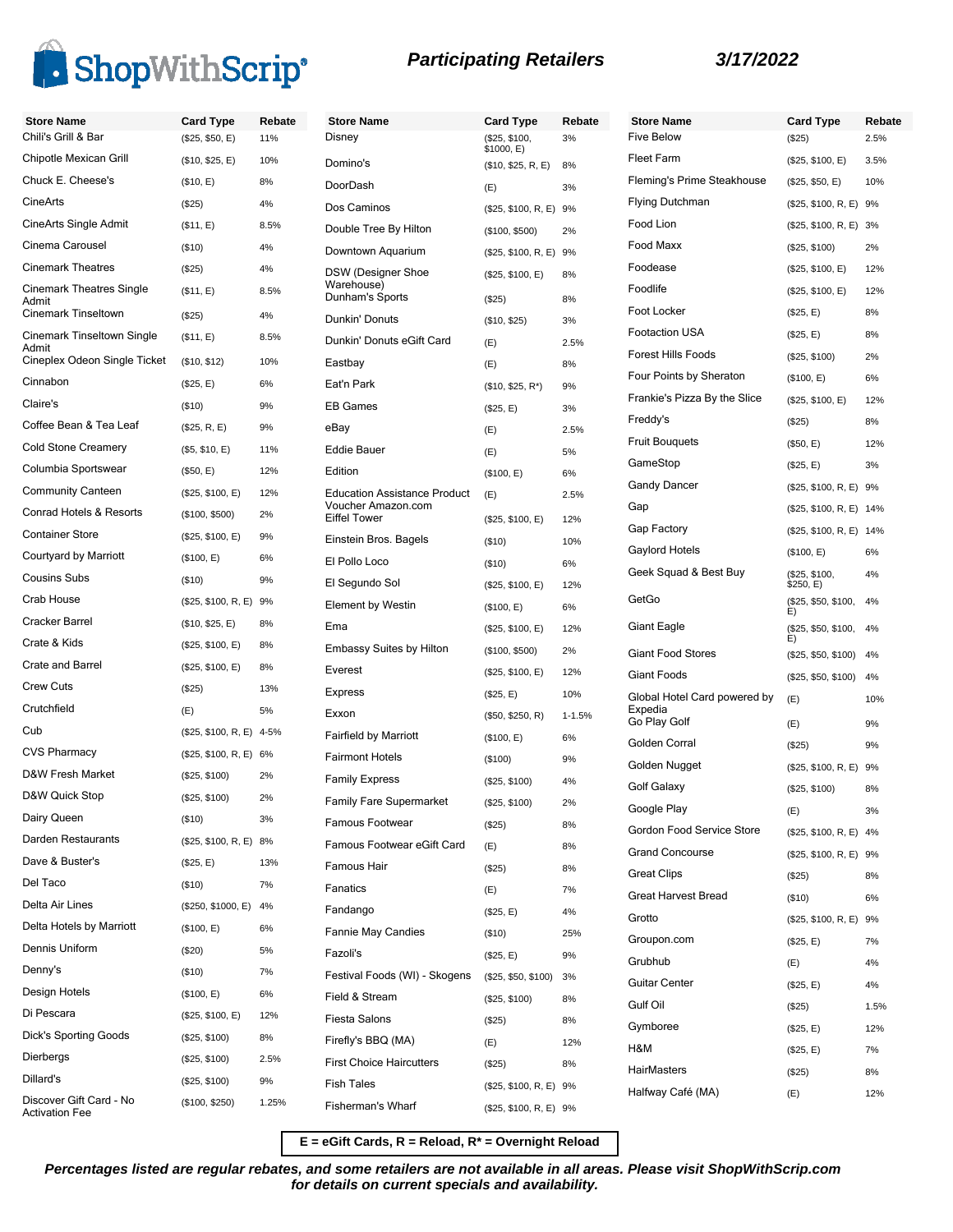

## **Participating Retailers 3/17/2022**

| <b>Store Name</b>                                | <b>Card Type</b>         | Rebate | <b>Store Name</b>                         | <b>Card Type</b>            | Rebate     |
|--------------------------------------------------|--------------------------|--------|-------------------------------------------|-----------------------------|------------|
| Chili's Grill & Bar                              | (\$25, \$50, E)          | 11%    | Disney                                    | (\$25, \$100,<br>\$1000, E) | 3%         |
| Chipotle Mexican Grill                           | (\$10, \$25, E)          | 10%    | Domino's                                  | (\$10, \$25, R, E)          | 8%         |
| Chuck E. Cheese's                                | (\$10, E)                | 8%     | DoorDash                                  | (E)                         | 3%         |
| <b>CineArts</b>                                  | (\$25)                   | 4%     | Dos Caminos                               | (\$25, \$100, R, E) 9%      |            |
| CineArts Single Admit                            | (\$11, E)                | 8.5%   | Double Tree By Hilton                     | (\$100, \$500)              | 2%         |
| Cinema Carousel                                  | (\$10)                   | 4%     | Downtown Aquarium                         | (\$25, \$100, R, E) 9%      |            |
| <b>Cinemark Theatres</b>                         | (\$25)                   | 4%     | <b>DSW (Designer Shoe</b>                 | (\$25, \$100, E)            | 8%         |
| <b>Cinemark Theatres Single</b><br>Admit         | (\$11, E)                | 8.5%   | Warehouse)<br>Dunham's Sports             | (\$25)                      | 8%         |
| <b>Cinemark Tinseltown</b>                       | (\$25)                   | 4%     | Dunkin' Donuts                            | (\$10, \$25)                | 3%         |
| Cinemark Tinseltown Single<br>Admit              | (\$11, E)                | 8.5%   | Dunkin' Donuts eGift Card                 | (E)                         | 2.5%       |
| Cineplex Odeon Single Ticket                     | (\$10, \$12)             | 10%    | Eastbay                                   | (E)                         | 8%         |
| Cinnabon                                         | (\$25, E)                | 6%     | Eat'n Park                                | $($10, $25, R^*)$           | 9%         |
| Claire's                                         | (\$10)                   | 9%     | <b>EB Games</b>                           | (\$25, E)                   | 3%         |
| Coffee Bean & Tea Leaf                           | (\$25, R, E)             | 9%     | eBav                                      | (E)                         | 2.5%       |
| <b>Cold Stone Creamery</b>                       | (\$5, \$10, E)           | 11%    | <b>Eddie Bauer</b>                        | (E)                         | 5%         |
| Columbia Sportswear                              | (\$50, E)                | 12%    | Edition                                   | (\$100, E)                  | 6%         |
| <b>Community Canteen</b>                         | (\$25, \$100, E)         | 12%    | <b>Education Assistance Product</b>       | (E)                         | 2.5%       |
| Conrad Hotels & Resorts                          | (\$100, \$500)           | 2%     | Voucher Amazon.com<br><b>Eiffel Tower</b> | (\$25, \$100, E)            | 12%        |
| <b>Container Store</b>                           | (\$25, \$100, E)         | 9%     | Einstein Bros. Bagels                     | (\$10)                      | 10%        |
| Courtyard by Marriott                            | (\$100, E)               | 6%     | El Pollo Loco                             | (\$10)                      | 6%         |
| <b>Cousins Subs</b>                              | $($ \$10)                | 9%     | El Segundo Sol                            | (\$25, \$100, E)            | 12%        |
| Crab House                                       | (\$25, \$100, R, E) 9%   |        | <b>Element by Westin</b>                  | (\$100, E)                  | 6%         |
| Cracker Barrel                                   | (\$10, \$25, E)          | 8%     | Ema                                       | (\$25, \$100, E)            | 12%        |
| Crate & Kids                                     | (\$25, \$100, E)         | 8%     | <b>Embassy Suites by Hilton</b>           | (\$100, \$500)              | 2%         |
| Crate and Barrel                                 | (\$25, \$100, E)         | 8%     | Everest                                   | (\$25, \$100, E)            | 12%        |
| <b>Crew Cuts</b>                                 | (\$25)                   | 13%    | Express                                   | (\$25, E)                   | 10%        |
| Crutchfield                                      | (E)                      | 5%     | Exxon                                     | (\$50, \$250, R)            | $1 - 1.5%$ |
| Cub                                              | (\$25, \$100, R, E) 4-5% |        | <b>Fairfield by Marriott</b>              | (\$100, E)                  | 6%         |
| <b>CVS Pharmacy</b>                              | (\$25, \$100, R, E) 6%   |        | <b>Fairmont Hotels</b>                    | (\$100)                     | 9%         |
| D&W Fresh Market                                 | (\$25, \$100)            | 2%     | <b>Family Express</b>                     | (\$25, \$100)               | 4%         |
| D&W Quick Stop                                   | (\$25, \$100)            | 2%     | Family Fare Supermarket                   | (\$25, \$100)               | 2%         |
| Dairy Queen                                      | (\$10)                   | 3%     | Famous Footwear                           | $(\$25)$                    | 8%         |
| Darden Restaurants                               | (\$25, \$100, R, E) 8%   |        | Famous Footwear eGift Card                | (E)                         | 8%         |
| Dave & Buster's                                  | (\$25, E)                | 13%    | Famous Hair                               | (\$25)                      | 8%         |
| Del Taco                                         | (\$10)                   | 7%     | Fanatics                                  | (E)                         | 7%         |
| Delta Air Lines                                  | (\$250, \$1000, E)       | 4%     | Fandango                                  | (\$25, E)                   | 4%         |
| Delta Hotels by Marriott                         | (\$100, E)               | 6%     | Fannie May Candies                        | (\$10)                      | 25%        |
| Dennis Uniform                                   | (\$20)                   | 5%     | Fazoli's                                  | (\$25, E)                   | 9%         |
| Denny's                                          | (\$10)                   | 7%     | Festival Foods (WI) - Skogens             | (\$25, \$50, \$100)         | 3%         |
| Design Hotels                                    | (\$100, E)               | 6%     | Field & Stream                            | (\$25, \$100)               | 8%         |
| Di Pescara                                       | (\$25, \$100, E)         | 12%    | <b>Fiesta Salons</b>                      | (\$25)                      | 8%         |
| <b>Dick's Sporting Goods</b>                     | (\$25, \$100)            | 8%     | Firefly's BBQ (MA)                        | (E)                         | 12%        |
| Dierbergs                                        | (\$25, \$100)            | 2.5%   | <b>First Choice Haircutters</b>           | $(\$25)$                    | 8%         |
| Dillard's                                        | (\$25, \$100)            | 9%     | <b>Fish Tales</b>                         | (\$25, \$100, R, E) 9%      |            |
| Discover Gift Card - No<br><b>Activation Fee</b> | (\$100, \$250)           | 1.25%  | Fisherman's Wharf                         | (\$25, \$100, R, E) 9%      |            |

| <b>Store Name</b><br><b>Five Below</b>  | Card Type                  | Rebate |
|-----------------------------------------|----------------------------|--------|
|                                         | (\$25)                     | 2.5%   |
| <b>Fleet Farm</b>                       | (\$25, \$100, E)           | 3.5%   |
| Fleming's Prime Steakhouse              | (\$25, \$50, E)            | 10%    |
| <b>Flying Dutchman</b>                  | (\$25, \$100, R, E)        | 9%     |
| Food Lion                               | (\$25, \$100, R, E)        | 3%     |
| Food Maxx                               | (\$25, \$100)              | 2%     |
| Foodease                                | (\$25, \$100, E)           | 12%    |
| Foodlife                                | (\$25, \$100, E)           | 12%    |
| Foot Locker                             | (\$25, E)                  | 8%     |
| <b>Footaction USA</b>                   | (\$25, E)                  | 8%     |
| <b>Forest Hills Foods</b>               | (\$25, \$100)              | 2%     |
| Four Points by Sheraton                 | (\$100, E)                 | 6%     |
| Frankie's Pizza By the Slice            | (\$25, \$100, E)           | 12%    |
| Freddy's                                | $(\$25)$                   | 8%     |
| <b>Fruit Bouguets</b>                   | (\$50, E)                  | 12%    |
| GameStop                                | (\$25, E)                  | 3%     |
| <b>Gandy Dancer</b>                     | (\$25, \$100, R, E) 9%     |        |
| Gap                                     | (\$25, \$100, R, E)        | 14%    |
| Gap Factory                             | (\$25, \$100, R, E)        | 14%    |
| Gaylord Hotels                          | (\$100, E)                 | 6%     |
| Geek Squad & Best Buy                   | (\$25, \$100,<br>\$250, E) | 4%     |
| GetGo                                   | (\$25, \$50, \$100,<br>E)  | 4%     |
| Giant Eagle                             | (\$25, \$50, \$100,<br>E)  | 4%     |
| <b>Giant Food Stores</b>                | (\$25, \$50, \$100)        | 4%     |
| Giant Foods                             | (\$25, \$50, \$100)        | 4%     |
| Global Hotel Card powered by<br>Expedia | (E)                        | 10%    |
| Go Play Golf                            | (E)                        | 9%     |
| Golden Corral                           | (\$25)                     | 9%     |
| Golden Nugget                           | (\$25, \$100, R, E) 9%     |        |
| Golf Galaxy                             | (\$25, \$100)              | 8%     |
| Google Play                             | (E)                        | 3%     |
| Gordon Food Service Store               | (\$25, \$100, R, E) 4%     |        |
| <b>Grand Concourse</b>                  | (\$25, \$100, R, E) 9%     |        |
| <b>Great Clips</b>                      | (\$25)                     | 8%     |
| <b>Great Harvest Bread</b>              | (\$10)                     | 6%     |
| Grotto                                  | (\$25, \$100, R, E) 9%     |        |
| Groupon.com                             | (\$25, E)                  | 7%     |
| Grubhub                                 | (E)                        | 4%     |
| Guitar Center                           | (\$25, E)                  | 4%     |
| Gulf Oil                                | (\$25)                     | 1.5%   |
| Gymboree                                | (\$25, E)                  | 12%    |
| H&M                                     | (\$25, E)                  | 7%     |
| HairMasters                             | (\$25)                     | 8%     |
| Halfway Café (MA)                       | (E)                        | 12%    |
|                                         |                            |        |

**E = eGift Cards, R = Reload, R\* = Overnight Reload**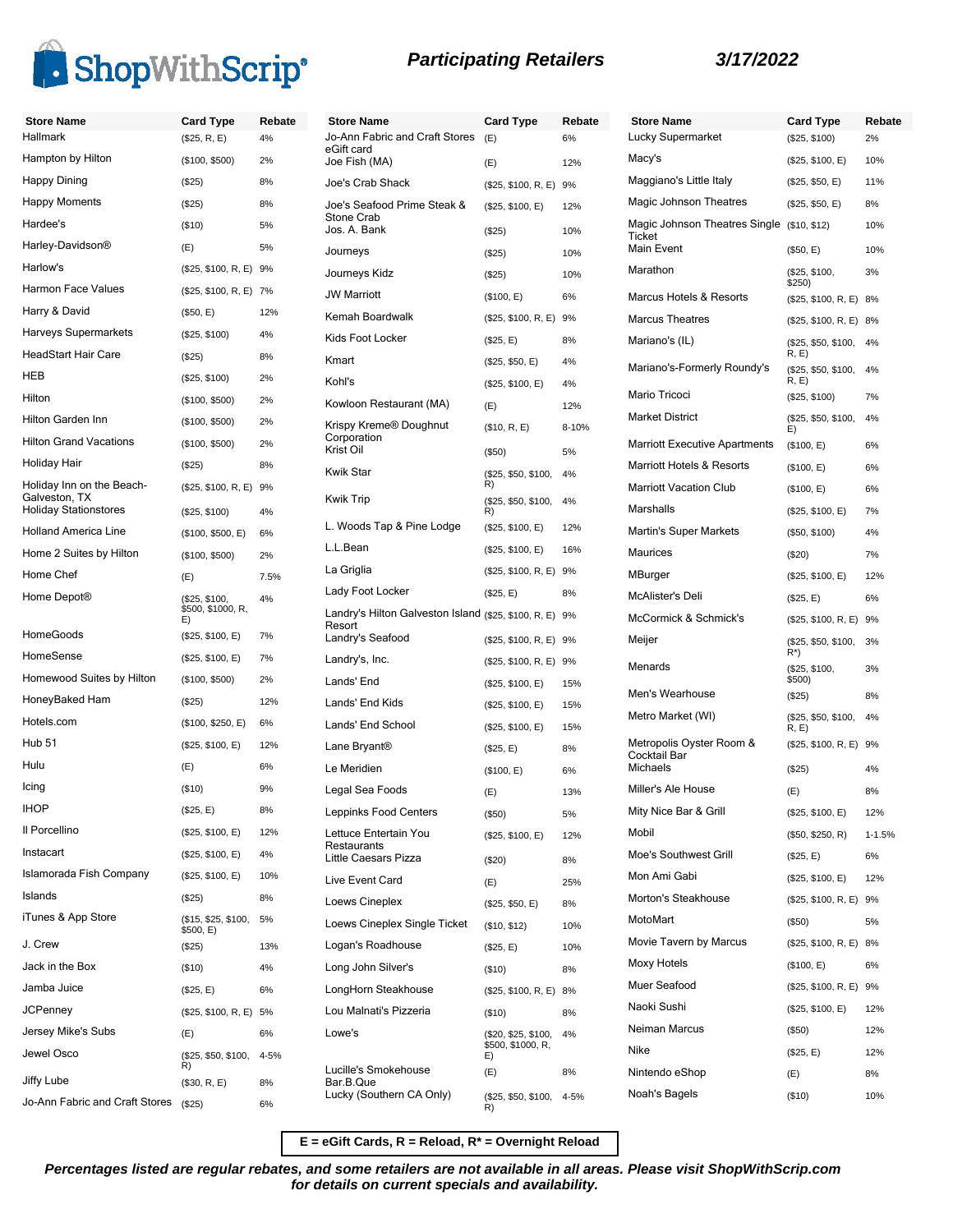

|                               |                        | ی رسمہ |              |
|-------------------------------|------------------------|--------|--------------|
| <b>Store Name</b>             | <b>Card Type</b>       | Rebate | Sto          |
| <b>Hallmark</b>               | (\$25, R, E)           | 4%     | Jo-<br>eGi   |
| Hampton by Hilton             | (\$100, \$500)         | 2%     | Joe          |
| Happy Dining                  | (S25)                  | 8%     | Joe          |
| <b>Happy Moments</b>          | (\$25)                 | 8%     | Joe          |
| Hardee's                      | $($ \$10)              | 5%     | Sto<br>Jos   |
| Harley-Davidson <sup>®</sup>  | (E)                    | 5%     | Jou          |
| Harlow's                      | (\$25, \$100, R, E) 9% |        | Jou          |
| <b>Harmon Face Values</b>     | (\$25, \$100, R, E) 7% |        | <b>JW</b>    |
| Harry & David                 | (\$50, E)              | 12%    | Ker          |
| Harveys Supermarkets          | (\$25, \$100)          | 4%     | Kid:         |
| <b>HeadStart Hair Care</b>    | (\$25)                 | 8%     | Km           |
| <b>HEB</b>                    | (\$25, \$100)          | 2%     | Koł          |
| Hilton                        | (\$100, \$500)         | 2%     | Kov          |
| Hilton Garden Inn             | (\$100, \$500)         | 2%     | Kris         |
| <b>Hilton Grand Vacations</b> | (\$100, \$500)         | 2%     | Cor<br>V ric |

(\$25, \$100, R, E) 9%

\$500, \$1000, R, E)

(\$15, \$25, \$100,<br>\$500, E)

5%

4%

Holiday Hair (\$25) 8%

Holiday Stationstores (\$25, \$100) 4% Holland America Line (\$100, \$500, E) 6% Home 2 Suites by Hilton (\$100, \$500) 2% Home Chef (E) 7.5%

HomeGoods (\$25, \$100, E) 7% HomeSense (\$25, \$100, E) 7% Homewood Suites by Hilton (\$100, \$500) 2% HoneyBaked Ham (\$25) 12% Hotels.com (\$100, \$250, E) 6% Hub 51 (\$25, \$100, E) 12% Hulu (E) 6% Icing (\$10) 9% IHOP (\$25, E) 8% Il Porcellino (\$25, \$100, E) 12% Instacart (\$25, \$100, E) 4% Islamorada Fish Company (\$25, \$100, E) 10% Islands (\$25) 8%

J. Crew (\$25) 13% Jack in the Box (\$10) 4% Jamba Juice (\$25, E) 6% JCPenney (\$25, \$100, R, E) 5% Jersey Mike's Subs (E) 6% Jewel Osco (\$25, \$50, \$100, 4-5%

Jiffy Lube (\$30, R, E) 8% Jo-Ann Fabric and Craft Stores (\$25) 6%

 $\tilde{R}$ 

Home Depot® (\$25, \$100,

Holiday Inn on the Beach-Galveston, TX

iTunes & App Store

| <b>Store Name</b>                                                                  | <b>Card Type</b>                               | Rebate |
|------------------------------------------------------------------------------------|------------------------------------------------|--------|
| Jo-Ann Fabric and Craft Stores<br>eGift card                                       | (E)                                            | 6%     |
| Joe Fish (MA)                                                                      | (E)                                            | 12%    |
| Joe's Crab Shack                                                                   | (\$25, \$100, R, E)                            | 9%     |
| Joe's Seafood Prime Steak &<br>Stone Crab                                          | (\$25, \$100, E)                               | 12%    |
| Jos. A. Bank                                                                       | (S25)                                          | 10%    |
| Journeys                                                                           | (\$25)                                         | 10%    |
| Journeys Kidz                                                                      | (\$25)                                         | 10%    |
| <b>JW Marriott</b>                                                                 | (\$100, E)                                     | 6%     |
| Kemah Boardwalk                                                                    | (\$25, \$100, R, E)                            | 9%     |
| Kids Foot Locker                                                                   | (\$25, E)                                      | 8%     |
| Kmart                                                                              | (\$25, \$50, E)                                | 4%     |
| Kohl's                                                                             | (\$25, \$100, E)                               | 4%     |
| Kowloon Restaurant (MA)                                                            | (E)                                            | 12%    |
| Krispy Kreme® Doughnut<br>Corporation                                              | (\$10, R, E)                                   | 8-10%  |
| Krist Oil                                                                          | (\$50)                                         | 5%     |
| <b>Kwik Star</b>                                                                   | (\$25, \$50, \$100,<br>R)                      | 4%     |
| <b>Kwik Trip</b>                                                                   | (\$25, \$50, \$100,<br>R)                      | 4%     |
| L. Woods Tap & Pine Lodge                                                          | (\$25, \$100, E)                               | 12%    |
| L.L.Bean                                                                           | (\$25, \$100, E)                               | 16%    |
| La Griglia                                                                         | (\$25, \$100, R, E)                            | 9%     |
| Lady Foot Locker                                                                   | (\$25, E)                                      | 8%     |
| Landry's Hilton Galveston Island (\$25, \$100, R, E)<br>Resort<br>Landry's Seafood |                                                | 9%     |
|                                                                                    | (\$25, \$100, R, E)                            | 9%     |
| Landry's, Inc.                                                                     | (\$25, \$100, R, E)                            | 9%     |
| Lands' End                                                                         | (\$25, \$100, E)                               | 15%    |
| Lands' End Kids                                                                    | (\$25, \$100, E)                               | 15%    |
| Lands' End School                                                                  | (\$25, \$100, E)                               | 15%    |
| Lane Bryant <sup>®</sup>                                                           | (\$25, E)                                      | 8%     |
| Le Meridien                                                                        | (\$100, E)                                     | 6%     |
| Legal Sea Foods                                                                    | (E)                                            | 13%    |
| Leppinks Food Centers                                                              | (\$50)                                         | 5%     |
| Lettuce Entertain You<br>Restaurants                                               | (\$25, \$100, E)                               | 12%    |
| Little Caesars Pizza                                                               | (\$20)                                         | 8%     |
| Live Event Card                                                                    | (E)                                            | 25%    |
| Loews Cineplex                                                                     | (\$25, \$50, E)                                | 8%     |
| Loews Cineplex Single Ticket                                                       | (\$10, \$12)                                   | 10%    |
| Logan's Roadhouse                                                                  | (\$25, E)                                      | 10%    |
| Long John Silver's                                                                 | ( \$10)                                        | 8%     |
| LongHorn Steakhouse                                                                | (\$25, \$100, R, E) 8%                         |        |
| Lou Malnati's Pizzeria                                                             | (\$10)                                         | 8%     |
| Lowe's                                                                             | (\$20, \$25, \$100,<br>\$500, \$1000, R,<br>E) | 4%     |
| Lucille's Smokehouse                                                               | (E)                                            | 8%     |
| Bar.B.Que<br>Lucky (Southern CA Only)                                              | (\$25, \$50, \$100,<br>R)                      | 4-5%   |

### **Participating Retailers 3/17/2022**

| <b>Store Name</b>                        | <b>Card Type</b>             | Rebate     |
|------------------------------------------|------------------------------|------------|
| Lucky Supermarket                        | (\$25, \$100)                | 2%         |
| Macy's                                   | (\$25, \$100, E)             | 10%        |
| Maggiano's Little Italy                  | (\$25, \$50, E)              | 11%        |
| Magic Johnson Theatres                   | (\$25, \$50, E)              | 8%         |
| Magic Johnson Theatres Single<br>Ticket  | (\$10, \$12)                 | 10%        |
| Main Event                               | (\$50, E)                    | 10%        |
| Marathon                                 | (\$25, \$100,<br>\$250)      | 3%         |
| Marcus Hotels & Resorts                  | (\$25, \$100, R, E)          | 8%         |
| <b>Marcus Theatres</b>                   | (\$25, \$100, R, E)          | 8%         |
| Mariano's (IL)                           | (\$25, \$50, \$100,<br>R, E) | 4%         |
| Mariano's-Formerly Roundy's              | (\$25, \$50, \$100,<br>R, E  | 4%         |
| Mario Tricoci                            | (\$25, \$100)                | 7%         |
| <b>Market District</b>                   | (\$25, \$50, \$100,<br>E)    | 4%         |
| <b>Marriott Executive Apartments</b>     | (\$100, E)                   | 6%         |
| Marriott Hotels & Resorts                | (\$100, E)                   | 6%         |
| <b>Marriott Vacation Club</b>            | (\$100, E)                   | 6%         |
| Marshalls                                | (\$25, \$100, E)             | 7%         |
| Martin's Super Markets                   | (\$50, \$100)                | 4%         |
| Maurices                                 | (\$20)                       | 7%         |
| MBurger                                  | (\$25, \$100, E)             | 12%        |
| McAlister's Deli                         | (\$25, E)                    | 6%         |
| McCormick & Schmick's                    | (\$25, \$100, R, E)          | 9%         |
| Meijer                                   | (\$25, \$50, \$100,<br>R*)   | 3%         |
| Menards                                  | (\$25, \$100,<br>\$500)      | 3%         |
| Men's Wearhouse                          | $(\$25)$                     | 8%         |
| Metro Market (WI)                        | (\$25, \$50, \$100,<br>R, E  | 4%         |
| Metropolis Oyster Room &<br>Cocktail Bar | (\$25, \$100, R, E)          | 9%         |
| Michaels                                 | $(\$25)$                     | 4%         |
| Miller's Ale House                       | (E)                          | 8%         |
| Mity Nice Bar & Grill                    | (\$25, \$100, E)             | 12%        |
| Mobil                                    | (\$50, \$250, R)             | $1 - 1.5%$ |
| Moe's Southwest Grill                    | (\$25, E)                    | 6%         |
| Mon Ami Gabi                             | (\$25, \$100, E)             | 12%        |
| Morton's Steakhouse                      | (\$25, \$100, R, E) 9%       |            |
| MotoMart                                 | (\$50)                       | 5%         |
| Movie Tavern by Marcus                   | (\$25, \$100, R, E) 8%       |            |
| <b>Moxy Hotels</b>                       | (\$100, E)                   | 6%         |
| Muer Seafood                             | (\$25, \$100, R, E) 9%       |            |
| Naoki Sushi                              | (\$25, \$100, E)             | 12%        |
| Neiman Marcus                            | (\$50)                       | 12%        |
| Nike                                     | (\$25, E)                    | 12%        |
| Nintendo eShop                           | (E)                          | 8%         |
| Noah's Bagels                            | (\$10)                       | 10%        |

**E = eGift Cards, R = Reload, R\* = Overnight Reload**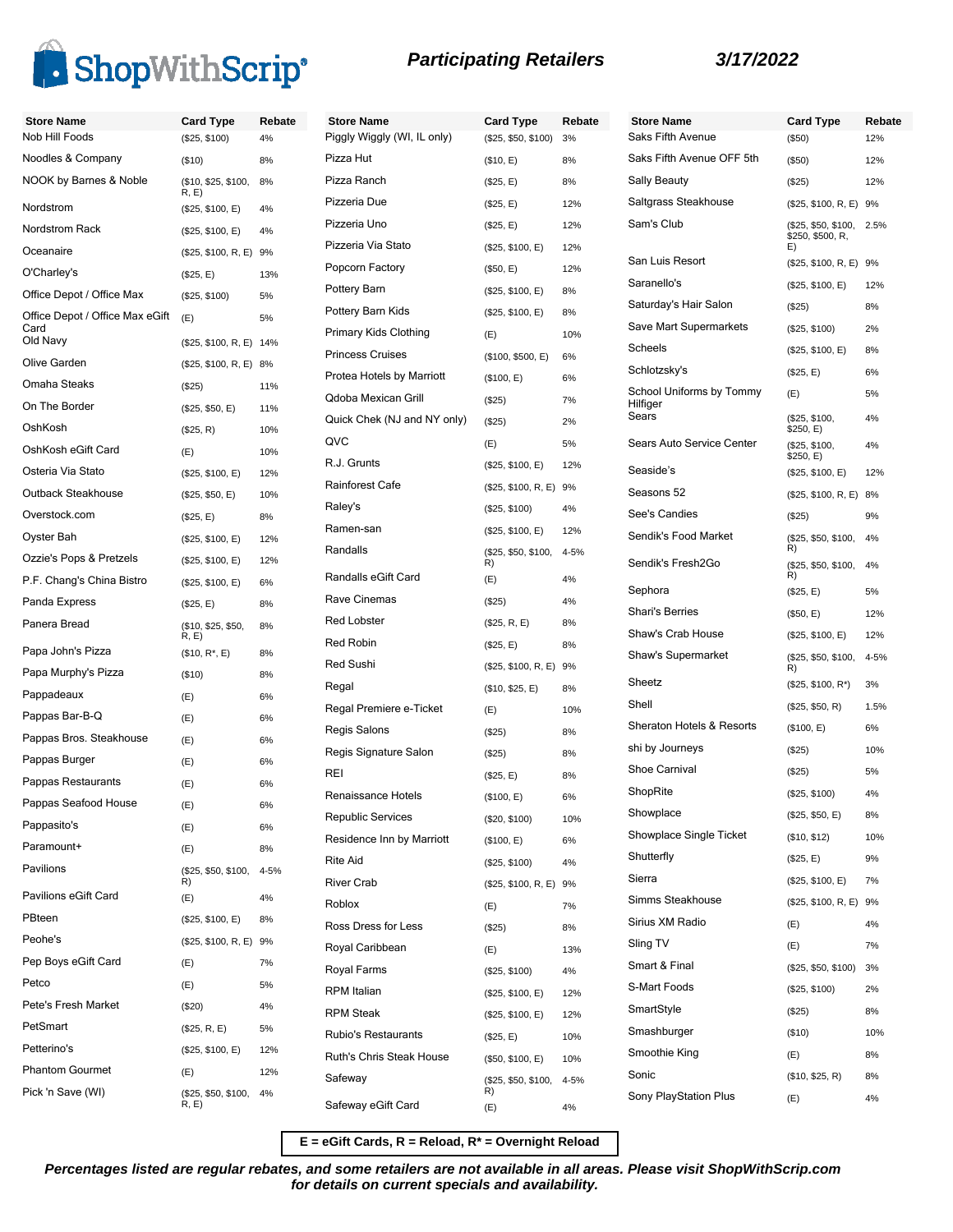

# **Participating Retailers 3/17/2022**

| <b>Store Name</b><br>Nob Hill Foods     | <b>Card Type</b>              | Rebate<br>4% | <b>Store Name</b><br>Piggly Wiggly (WI, IL only) | <b>Card Type</b>          | Rebate<br>3% | <b>Store</b><br>Saks F |
|-----------------------------------------|-------------------------------|--------------|--------------------------------------------------|---------------------------|--------------|------------------------|
| Noodles & Company                       | (\$25, \$100)                 |              | Pizza Hut                                        | (\$25, \$50, \$100)       |              | Saks F                 |
| NOOK by Barnes & Noble                  | (\$10)<br>(\$10, \$25, \$100, | 8%<br>8%     | Pizza Ranch                                      | (\$10, E)                 | 8%<br>8%     | Sally B                |
|                                         | R, E)                         |              | Pizzeria Due                                     | (\$25, E)                 | 12%          | Saltgra                |
| Nordstrom                               | (\$25, \$100, E)              | 4%           | Pizzeria Uno                                     | (\$25, E)                 |              | Sam's                  |
| Nordstrom Rack                          | (\$25, \$100, E)              | 4%           | Pizzeria Via Stato                               | (\$25, E)                 | 12%          |                        |
| Oceanaire                               | (\$25, \$100, R, E) 9%        |              | Popcorn Factory                                  | (\$25, \$100, E)          | 12%          | San Lu                 |
| O'Charley's                             | (\$25, E)                     | 13%          | Pottery Barn                                     | (\$50, E)                 | 12%          | Sarane                 |
| Office Depot / Office Max               | (\$25, \$100)                 | 5%           |                                                  | (\$25, \$100, E)          | 8%           | Saturda                |
| Office Depot / Office Max eGift<br>Card | (E)                           | 5%           | Pottery Barn Kids                                | (\$25, \$100, E)          | 8%           | Save M                 |
| Old Navy                                | (\$25, \$100, R, E) 14%       |              | Primary Kids Clothing                            | (E)                       | 10%          | Scheel                 |
| Olive Garden                            | (\$25, \$100, R, E) 8%        |              | <b>Princess Cruises</b>                          | (\$100, \$500, E)         | 6%           | Schlotz                |
| Omaha Steaks                            | (\$25)                        | 11%          | Protea Hotels by Marriott                        | (\$100, E)                | 6%           | School                 |
| On The Border                           | (\$25, \$50, E)               | 11%          | Qdoba Mexican Grill                              | (\$25)                    | 7%           | Hilfiger<br>Sears      |
| OshKosh                                 | (\$25, R)                     | 10%          | Quick Chek (NJ and NY only)                      | (\$25)                    | 2%           |                        |
| OshKosh eGift Card                      | (E)                           | 10%          | QVC                                              | (E)                       | 5%           | Sears /                |
| Osteria Via Stato                       | (\$25, \$100, E)              | 12%          | R.J. Grunts                                      | (\$25, \$100, E)          | 12%          | Seasid                 |
| Outback Steakhouse                      | (\$25, \$50, E)               | 10%          | Rainforest Cafe                                  | $($25, $100, R, E)$ 9%    |              | Seasor                 |
| Overstock.com                           | (\$25, E)                     | 8%           | Raley's                                          | (\$25, \$100)             | 4%           | See's (                |
| Oyster Bah                              | (\$25, \$100, E)              | 12%          | Ramen-san                                        | (\$25, \$100, E)          | 12%          | Sendik                 |
| Ozzie's Pops & Pretzels                 | (\$25, \$100, E)              | 12%          | Randalls                                         | (\$25, \$50, \$100,<br>R) | 4-5%         | Sendik                 |
| P.F. Chang's China Bistro               | (\$25, \$100, E)              | 6%           | Randalls eGift Card                              | (E)                       | 4%           |                        |
| Panda Express                           | (\$25, E)                     | 8%           | Rave Cinemas                                     | (\$25)                    | 4%           | Sephor                 |
| Panera Bread                            | (\$10, \$25, \$50,            | 8%           | <b>Red Lobster</b>                               | (\$25, R, E)              | 8%           | Shari's                |
| Papa John's Pizza                       | R, E)<br>$($10, R^*, E)$      | 8%           | Red Robin                                        | (\$25, E)                 | 8%           | Shaw's                 |
| Papa Murphy's Pizza                     | (\$10)                        | 8%           | <b>Red Sushi</b>                                 | (\$25, \$100, R, E) 9%    |              | Shaw's                 |
| Pappadeaux                              | (E)                           | 6%           | Regal                                            | (\$10, \$25, E)           | 8%           | Sheetz                 |
| Pappas Bar-B-Q                          | (E)                           | 6%           | Regal Premiere e-Ticket                          | (E)                       | 10%          | Shell                  |
| Pappas Bros. Steakhouse                 | (E)                           | 6%           | Regis Salons                                     | (\$25)                    | 8%           | <b>Sherat</b>          |
| Pappas Burger                           | (E)                           | 6%           | Regis Signature Salon                            | (\$25)                    | 8%           | shi by.                |
| Pappas Restaurants                      |                               | 6%           | REI                                              | (\$25, E)                 | 8%           | Shoe C                 |
| Pappas Seafood House                    | (E)                           |              | Renaissance Hotels                               | (\$100, E)                | 6%           | ShopR                  |
| Pappasito's                             | (E)                           | 6%           | <b>Republic Services</b>                         | (\$20, \$100)             | 10%          | Showp                  |
| Paramount+                              | (E)                           | 6%           | Residence Inn by Marriott                        | (\$100, E)                | 6%           | Showp                  |
| Pavilions                               | (E)                           | 8%           | <b>Rite Aid</b>                                  | (\$25, \$100)             | 4%           | Shutter                |
|                                         | (\$25, \$50, \$100,<br>R)     | 4-5%         | <b>River Crab</b>                                | (\$25, \$100, R, E) 9%    |              | Sierra                 |
| Pavilions eGift Card                    | (E)                           | 4%           | Roblox                                           | (E)                       | 7%           | Simms                  |
| PBteen                                  | (\$25, \$100, E)              | 8%           | Ross Dress for Less                              | (\$25)                    | 8%           | Sirius >               |
| Peohe's                                 | (\$25, \$100, R, E) 9%        |              | Royal Caribbean                                  | (E)                       | 13%          | Sling T                |
| Pep Boys eGift Card                     | (E)                           | 7%           | Royal Farms                                      | (\$25, \$100)             | 4%           | Smart o                |
| Petco                                   | (E)                           | 5%           | RPM Italian                                      | (\$25, \$100, E)          | 12%          | S-Mart                 |
| Pete's Fresh Market                     | $(\$20)$                      | 4%           | <b>RPM Steak</b>                                 | (\$25, \$100, E)          | 12%          | <b>SmartS</b>          |
| PetSmart                                | (\$25, R, E)                  | 5%           | Rubio's Restaurants                              | (\$25, E)                 | 10%          | Smash                  |
| Petterino's                             | (\$25, \$100, E)              | 12%          | Ruth's Chris Steak House                         | (\$50, \$100, E)          | 10%          | Smootl                 |
| <b>Phantom Gourmet</b>                  | (E)                           | 12%          | Safeway                                          | (\$25, \$50, \$100,       | 4-5%         | Sonic                  |
| Pick 'n Save (WI)                       | (\$25, \$50, \$100,<br>R, E)  | 4%           |                                                  | R)                        |              | Sony P                 |
|                                         |                               |              | Safeway eGift Card                               | (E)                       | 4%           |                        |

| <b>Store Name</b>                             | <b>Card Type</b>                              | Rebate |
|-----------------------------------------------|-----------------------------------------------|--------|
| Saks Fifth Avenue                             | $(\$50)$                                      | 12%    |
| Saks Fifth Avenue OFF 5th                     | $($ \$50)                                     | 12%    |
| Sally Beauty                                  | $(\$25)$                                      | 12%    |
| Saltgrass Steakhouse                          | (\$25, \$100, R, E)                           | 9%     |
| Sam's Club                                    | (\$25, \$50, \$100,<br>\$250, \$500, R,<br>E) | 2.5%   |
| San Luis Resort                               | (\$25, \$100, R, E)                           | 9%     |
| Saranello's                                   | (\$25, \$100, E)                              | 12%    |
| Saturday's Hair Salon                         | (\$25)                                        | 8%     |
| Save Mart Supermarkets                        | (\$25, \$100)                                 | 2%     |
| Scheels                                       | (\$25, \$100, E)                              | 8%     |
| Schlotzsky's                                  | (\$25, E)                                     | 6%     |
| School Uniforms by Tommy<br>Hilfiger<br>Sears | (E)                                           | 5%     |
|                                               | (\$25, \$100,<br>\$250, E)                    | 4%     |
| Sears Auto Service Center                     | (\$25, \$100,<br>\$250, E)                    | 4%     |
| Seaside's                                     | (\$25, \$100, E)                              | 12%    |
| Seasons 52                                    | (\$25, \$100, R, E)                           | 8%     |
| See's Candies                                 | (\$25)                                        | 9%     |
| Sendik's Food Market                          | (\$25, \$50, \$100,<br>R)                     | 4%     |
| Sendik's Fresh2Go                             | (\$25, \$50, \$100,<br>R)                     | 4%     |
| Sephora                                       | (\$25, E)                                     | 5%     |
| <b>Shari's Berries</b>                        | (\$50, E)                                     | 12%    |
| Shaw's Crab House                             | (\$25, \$100, E)                              | 12%    |
| Shaw's Supermarket                            | (\$25, \$50, \$100,<br>R)                     | 4-5%   |
| Sheetz                                        | $($25, $100, R^*)$                            | 3%     |
| Shell                                         | (\$25, \$50, R)                               | 1.5%   |
| Sheraton Hotels & Resorts                     | (\$100, E)                                    | 6%     |
| shi by Journeys                               | (\$25)                                        | 10%    |
| Shoe Carnival                                 | (\$25)                                        | 5%     |
| ShopRite                                      | (\$25, \$100)                                 | 4%     |
| Showplace                                     | (\$25, \$50, E)                               | 8%     |
| Showplace Single Ticket                       | (\$10, \$12)                                  | 10%    |
| Shutterfly                                    | (\$25, E)                                     | 9%     |
| Sierra                                        | (\$25, \$100, E)                              | 7%     |
| Simms Steakhouse                              | (\$25, \$100, R, E) 9%                        |        |
| Sirius XM Radio                               | (E)                                           | 4%     |
| Sling TV                                      | (E)                                           | 7%     |
| Smart & Final                                 | (\$25, \$50, \$100)                           | 3%     |
| S-Mart Foods                                  | (\$25, \$100)                                 | 2%     |
| SmartStyle                                    | (\$25)                                        | 8%     |
| Smashburger                                   | (\$10)                                        | 10%    |
| Smoothie King                                 | (E)                                           | 8%     |
| Sonic                                         | (\$10, \$25, R)                               | 8%     |
| Sony PlayStation Plus                         | (E)                                           | 4%     |

**E = eGift Cards, R = Reload, R\* = Overnight Reload**